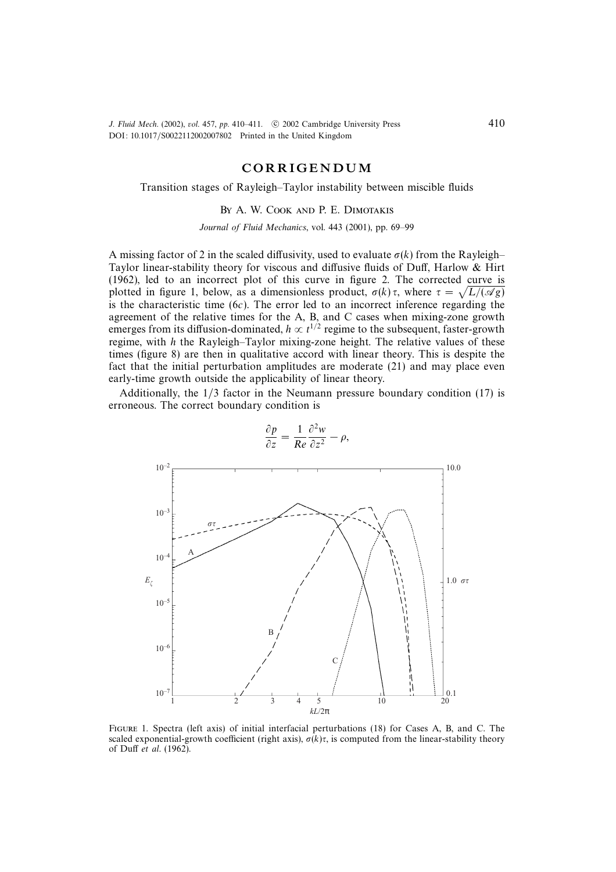J. Fluid Mech. (2002), vol. 457, pp. 410-411. © 2002 Cambridge University Press DOI: 10.1017/S0022112002007802 Printed in the United Kingdom

# CORRIGENDUM

#### Transition stages of Rayleigh–Taylor instability between miscible fluids

## By A. W. Cook and P. E. Dimotakis

Journal of Fluid Mechanics, vol. 443 (2001), pp. 69–99

A missing factor of 2 in the scaled diffusivity, used to evaluate  $\sigma(k)$  from the Rayleigh– Taylor linear-stability theory for viscous and diffusive fluids of Duff, Harlow & Hirt (1962), led to an incorrect plot of this curve in figure 2. The corrected curve is plotted in figure 1, below, as a dimensionless product,  $\sigma(k)\tau$ , where  $\tau = \sqrt{L/(\mathcal{A}g)}$ is the characteristic time  $(6c)$ . The error led to an incorrect inference regarding the agreement of the relative times for the A, B, and C cases when mixing-zone growth emerges from its diffusion-dominated,  $h \propto t^{1/2}$  regime to the subsequent, faster-growth regime, with h the Rayleigh–Taylor mixing-zone height. The relative values of these times (figure 8) are then in qualitative accord with linear theory. This is despite the fact that the initial perturbation amplitudes are moderate (21) and may place even early-time growth outside the applicability of linear theory.

Additionally, the 1/3 factor in the Neumann pressure boundary condition (17) is erroneous. The correct boundary condition is



 $\frac{\partial p}{\partial z} = \frac{1}{Re}$  $\partial^2 w$  $rac{\partial}{\partial z^2} - \rho,$ 

Figure 1. Spectra (left axis) of initial interfacial perturbations (18) for Cases A, B, and C. The scaled exponential-growth coefficient (right axis),  $\sigma(k)\tau$ , is computed from the linear-stability theory of Duff et al. (1962).